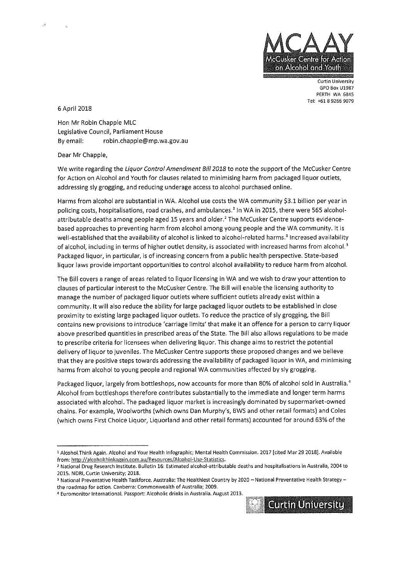

**Curtin University GPO Box U1987 PERTH WA 6845 Tel: +61 892669079** 

6 April 2018

Hon Mr Robin Chapple MLC Legislative Council, Parliament House By email: robin.chapple@mp.wa.gov.au

Dear Mr Chapple,

We write regarding the Liquor Control Amendment Bill 2018 to note the support of the McCusker Centre for Action on Alcohol and Youth for clauses related to minimising harm from packaged liquor outlets, addressing sly grogging, and reducing underage access to alcohol purchased online.

Harms from alcohol are substantial in WA. Alcohol use costs the WA community \$3.1 billion per year in policing costs, hospitalisations, road crashes, and ambulances.' In WA in 2015, there were 565 alcoholattributable deaths among people aged 15 years and older.<sup>2</sup> The McCusker Centre supports evidencebased approaches to preventing harm from alcohol among young people and the WA community. It is well-established that the availability of alcohol is linked to alcohol-related harms.<sup>3</sup> Increased availability of alcohol, including in terms of higher outlet density, is associated with increased harms from alcohol.<sup>3</sup> Packaged liquor, in particular, is of increasing concern from a public health perspective. State-based liquor laws provide important opportunities to control alcohol availability to reduce harm from alcohol.

The Bill covers a range of areas related to liquor licensing in WA and we wish to draw your attention to clauses of particular interest to the McCusker Centre. The Bill will enable the licensing authority to manage the number of packaged liquor outlets where sufficient outlets already exist within a community. It will also reduce the ability for large packaged liquor outlets to be established in close proximity to existing large packaged liquor outlets. To reduce the practice of sly grogging, the Bill **contains new provisions to introduce 'carriage limits' that make it an offence for a person to carry liquor**  above prescribed quantities in prescribed areas of the State. The Bill also allows regulations to be made to prescribe criteria for licensees when delivering liquor. This change aims to restrict the potential delivery of liquor to juveniles. The McCusker Centre supports these proposed changes and we believe that they are positive steps towards addressing the availability of packaged liquor in WA, and minimising harms from alcohol to young people and regional WA communities affected by sly grogging.

Packaged liquor, largely from bottleshops, now accounts for more than 80% of alcohol sold in Australia.' Alcohol from bottleshops therefore contributes substantially to the immediate and longer term harms associated with alcohol. The packaged liquor market is increasingly dominated by supermarket-owned chains. For example, Woolworths (which owns Dan Murphy's, BWS and other retail formats) and Coles (which owns First Choice Liquor, Liquorland and other retail formats) accounted for around 63% of the

<sup>4</sup> **Euromonitor International. Passport: Alcoholic drinks in Australia. August 2013.** 



<sup>1</sup> **Alcohol.Think Again. Alcohol and Your Health Infographic; Mental Health Commission. 2017 [cited Mar 29 2018]. Available**  from: http://alcoholthinkagain.com.au/Resources/Alcohol-Use-Statistics.

<sup>2</sup> **National Drug Research Institute. Bulletin 16: Estimated alcohol-attributable deaths and hospitalisations in Australia, 2004 to 2015. NDRI, Curtin University; 2018.** 

<sup>3</sup> **National Preventative Health Taskforce. Australia: The Healthiest Country by 2020 - National Preventative Health Strategythe** road map **for action. Canberra: Commonwealth of Australia; 2009.**